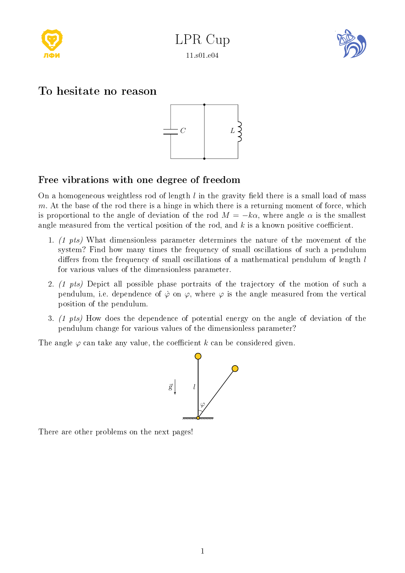



# To hesitate no reason



# Free vibrations with one degree of freedom

On a homogeneous weightless rod of length  $l$  in the gravity field there is a small load of mass  $m$ . At the base of the rod there is a hinge in which there is a returning moment of force, which is proportional to the angle of deviation of the rod  $M = -k\alpha$ , where angle  $\alpha$  is the smallest angle measured from the vertical position of the rod, and  $k$  is a known positive coefficient.

- 1. (1 pts) What dimensionless parameter determines the nature of the movement of the system? Find how many times the frequency of small oscillations of such a pendulum differs from the frequency of small oscillations of a mathematical pendulum of length  $l$ for various values of the dimensionless parameter.
- 2. (1 pts) Depict all possible phase portraits of the trajectory of the motion of such a pendulum, i.e. dependence of  $\dot{\varphi}$  on  $\varphi$ , where  $\varphi$  is the angle measured from the vertical position of the pendulum.
- 3. (1 pts) How does the dependence of potential energy on the angle of deviation of the pendulum change for various values of the dimensionless parameter?

The angle  $\varphi$  can take any value, the coefficient k can be considered given.



There are other problems on the next pages!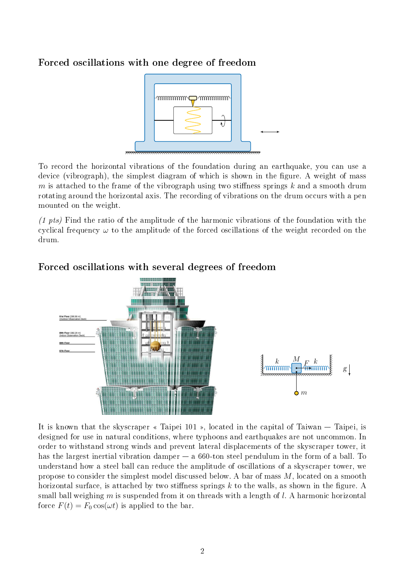### Forced oscillations with one degree of freedom



To record the horizontal vibrations of the foundation during an earthquake, you can use a device (vibrograph), the simplest diagram of which is shown in the figure. A weight of mass m is attached to the frame of the vibrograph using two stiffness springs  $k$  and a smooth drum rotating around the horizontal axis. The recording of vibrations on the drum occurs with a pen mounted on the weight.

(1 pts) Find the ratio of the amplitude of the harmonic vibrations of the foundation with the cyclical frequency  $\omega$  to the amplitude of the forced oscillations of the weight recorded on the drum.



### Forced oscillations with several degrees of freedom

It is known that the skyscraper  $\ast$  Taipei 101  $\ast$ , located in the capital of Taiwan  $-$  Taipei, is designed for use in natural conditions, where typhoons and earthquakes are not uncommon. In order to withstand strong winds and prevent lateral displacements of the skyscraper tower, it has the largest inertial vibration damper  $-$  a 660-ton steel pendulum in the form of a ball. To understand how a steel ball can reduce the amplitude of oscillations of a skyscraper tower, we propose to consider the simplest model discussed below. A bar of mass M, located on a smooth horizontal surface, is attached by two stiffness springs  $k$  to the walls, as shown in the figure. A small ball weighing m is suspended from it on threads with a length of  $l$ . A harmonic horizontal force  $F(t) = F_0 \cos(\omega t)$  is applied to the bar.